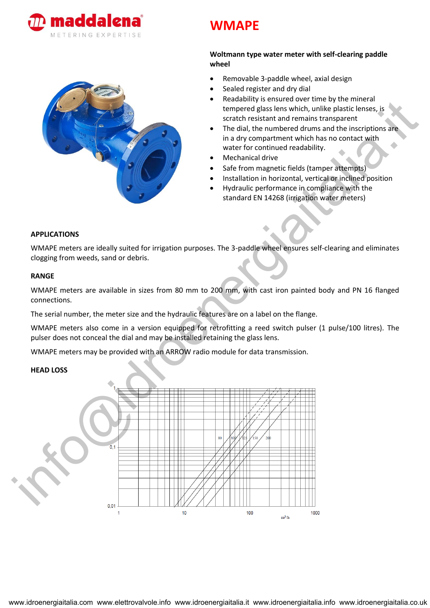



# **WMAPE**

# **Woltmann type water meter with self-clearing paddle wheel**

- Removable 3-paddle wheel, axial design
- Sealed register and dry dial
- Readability is ensured over time by the mineral tempered glass lens which, unlike plastic lenses, is scratch resistant and remains transparent
- The dial, the numbered drums and the inscriptions are in a dry compartment which has no contact with water for continued readability.
- Mechanical drive
- Safe from magnetic fields (tamper attempts)
- Installation in horizontal, vertical or inclined position
- Hydraulic performance in compliance with the standard EN 14268 (irrigation water meters)

## **APPLICATIONS**

WMAPE meters are ideally suited for irrigation purposes. The 3-paddle wheel ensures self-clearing and eliminates clogging from weeds, sand or debris.

#### **RANGE**

WMAPE meters are available in sizes from 80 mm to 200 mm, with cast iron painted body and PN 16 flanged connections.

The serial number, the meter size and the hydraulic features are on a label on the flange.

WMAPE meters also come in a version equipped for retrofitting a reed switch pulser (1 pulse/100 litres). The pulser does not conceal the dial and may be installed retaining the glass lens.

WMAPE meters may be provided with an ARROW radio module for data transmission.

## **HEAD LOSS**